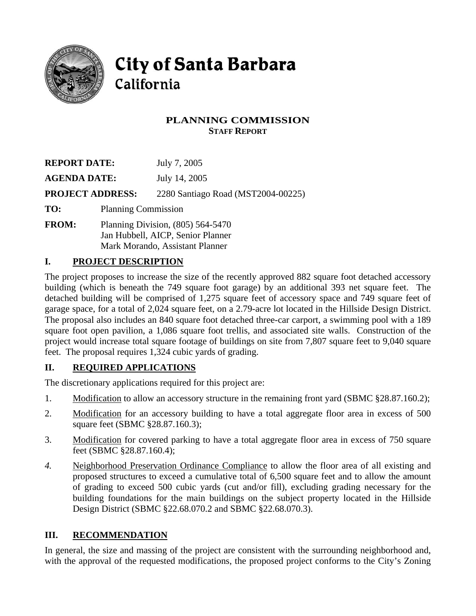

# **City of Santa Barbara** California

# **PLANNING COMMISSION STAFF REPORT**

| <b>REPORT DATE:</b>     |                                     | July 7, 2005                       |
|-------------------------|-------------------------------------|------------------------------------|
| <b>AGENDA DATE:</b>     |                                     | July 14, 2005                      |
| <b>PROJECT ADDRESS:</b> |                                     | 2280 Santiago Road (MST2004-00225) |
| TO:                     | <b>Planning Commission</b>          |                                    |
| <b>FROM:</b>            | Planning Division, $(805)$ 564-5470 |                                    |

Jan Hubbell, AICP, Senior Planner Mark Morando, Assistant Planner

# **I. PROJECT DESCRIPTION**

The project proposes to increase the size of the recently approved 882 square foot detached accessory building (which is beneath the 749 square foot garage) by an additional 393 net square feet. The detached building will be comprised of 1,275 square feet of accessory space and 749 square feet of garage space, for a total of 2,024 square feet, on a 2.79-acre lot located in the Hillside Design District. The proposal also includes an 840 square foot detached three-car carport, a swimming pool with a 189 square foot open pavilion, a 1,086 square foot trellis, and associated site walls. Construction of the project would increase total square footage of buildings on site from 7,807 square feet to 9,040 square feet. The proposal requires 1,324 cubic yards of grading.

# **II. REQUIRED APPLICATIONS**

The discretionary applications required for this project are:

- 1. Modification to allow an accessory structure in the remaining front yard (SBMC §28.87.160.2);
- 2. Modification for an accessory building to have a total aggregate floor area in excess of 500 square feet (SBMC §28.87.160.3);
- 3. Modification for covered parking to have a total aggregate floor area in excess of 750 square feet (SBMC §28.87.160.4);
- *4.* Neighborhood Preservation Ordinance Compliance to allow the floor area of all existing and proposed structures to exceed a cumulative total of 6,500 square feet and to allow the amount of grading to exceed 500 cubic yards (cut and/or fill), excluding grading necessary for the building foundations for the main buildings on the subject property located in the Hillside Design District (SBMC §22.68.070.2 and SBMC §22.68.070.3).

# **III. RECOMMENDATION**

In general, the size and massing of the project are consistent with the surrounding neighborhood and, with the approval of the requested modifications, the proposed project conforms to the City's Zoning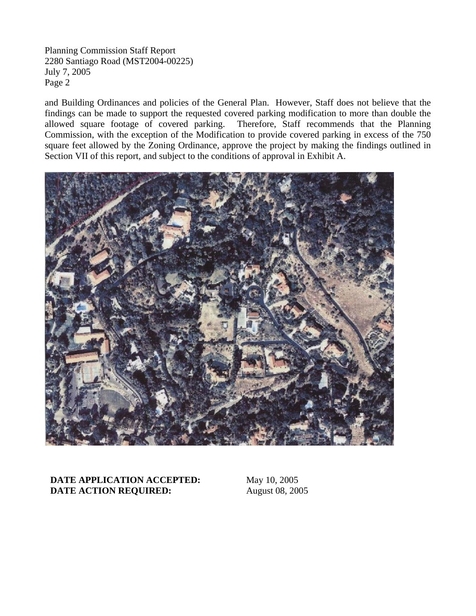and Building Ordinances and policies of the General Plan. However, Staff does not believe that the findings can be made to support the requested covered parking modification to more than double the allowed square footage of covered parking. Therefore, Staff recommends that the Planning Commission, with the exception of the Modification to provide covered parking in excess of the 750 square feet allowed by the Zoning Ordinance, approve the project by making the findings outlined in Section VII of this report, and subject to the conditions of approval in Exhibit A.



**DATE APPLICATION ACCEPTED:** May 10, 2005 **DATE ACTION REQUIRED:** August 08, 2005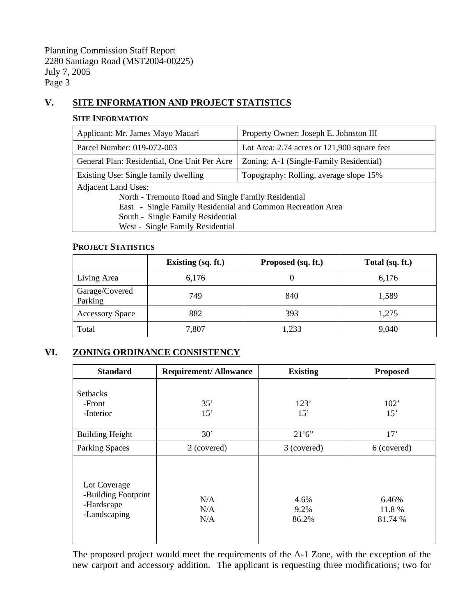# **V. SITE INFORMATION AND PROJECT STATISTICS**

#### **SITE INFORMATION**

| Applicant: Mr. James Mayo Macari                            | Property Owner: Joseph E. Johnston III          |  |  |  |
|-------------------------------------------------------------|-------------------------------------------------|--|--|--|
| Parcel Number: 019-072-003                                  | Lot Area: $2.74$ acres or $121,900$ square feet |  |  |  |
| General Plan: Residential, One Unit Per Acre                | Zoning: A-1 (Single-Family Residential)         |  |  |  |
| Existing Use: Single family dwelling                        | Topography: Rolling, average slope 15%          |  |  |  |
| <b>Adjacent Land Uses:</b>                                  |                                                 |  |  |  |
| North - Tremonto Road and Single Family Residential         |                                                 |  |  |  |
| East - Single Family Residential and Common Recreation Area |                                                 |  |  |  |
| South - Single Family Residential                           |                                                 |  |  |  |
| West - Single Family Residential                            |                                                 |  |  |  |

#### **PROJECT STATISTICS**

|                           | Existing (sq. ft.) | Proposed (sq. ft.) | Total (sq. ft.) |
|---------------------------|--------------------|--------------------|-----------------|
| Living Area               | 6,176              |                    | 6,176           |
| Garage/Covered<br>Parking | 749                | 840                | 1,589           |
| <b>Accessory Space</b>    | 882                | 393                | 1,275           |
| Total                     | 7,807              | 1,233              | 9,040           |

# **VI. ZONING ORDINANCE CONSISTENCY**

| <b>Standard</b>                                                   | <b>Requirement/Allowance</b> | <b>Existing</b>       | <b>Proposed</b>            |
|-------------------------------------------------------------------|------------------------------|-----------------------|----------------------------|
| <b>Setbacks</b><br>-Front<br>-Interior                            | 35'<br>15'                   | 123'<br>15'           | 102'<br>15'                |
| <b>Building Height</b>                                            | 30'                          | 21'6''                | 17'                        |
| <b>Parking Spaces</b>                                             | 2 (covered)                  | 3 (covered)           | 6 (covered)                |
| Lot Coverage<br>-Building Footprint<br>-Hardscape<br>-Landscaping | N/A<br>N/A<br>N/A            | 4.6%<br>9.2%<br>86.2% | 6.46%<br>11.8 %<br>81.74 % |

 The proposed project would meet the requirements of the A-1 Zone, with the exception of the new carport and accessory addition. The applicant is requesting three modifications; two for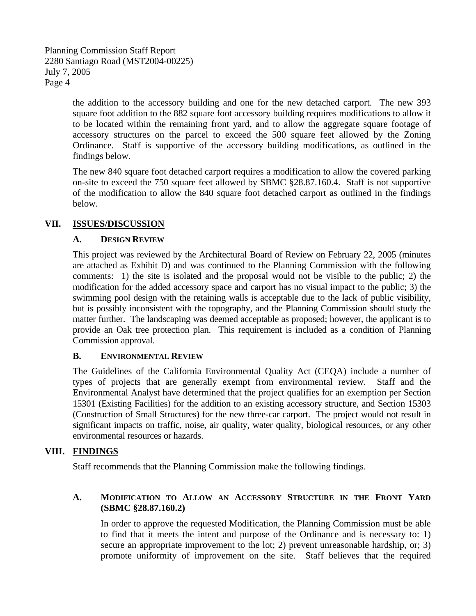> the addition to the accessory building and one for the new detached carport. The new 393 square foot addition to the 882 square foot accessory building requires modifications to allow it to be located within the remaining front yard, and to allow the aggregate square footage of accessory structures on the parcel to exceed the 500 square feet allowed by the Zoning Ordinance. Staff is supportive of the accessory building modifications, as outlined in the findings below.

> The new 840 square foot detached carport requires a modification to allow the covered parking on-site to exceed the 750 square feet allowed by SBMC §28.87.160.4. Staff is not supportive of the modification to allow the 840 square foot detached carport as outlined in the findings below.

## **VII. ISSUES/DISCUSSION**

## **A. DESIGN REVIEW**

This project was reviewed by the Architectural Board of Review on February 22, 2005 (minutes are attached as Exhibit D) and was continued to the Planning Commission with the following comments: 1) the site is isolated and the proposal would not be visible to the public; 2) the modification for the added accessory space and carport has no visual impact to the public; 3) the swimming pool design with the retaining walls is acceptable due to the lack of public visibility, but is possibly inconsistent with the topography, and the Planning Commission should study the matter further. The landscaping was deemed acceptable as proposed; however, the applicant is to provide an Oak tree protection plan. This requirement is included as a condition of Planning Commission approval.

#### **B. ENVIRONMENTAL REVIEW**

The Guidelines of the California Environmental Quality Act (CEQA) include a number of types of projects that are generally exempt from environmental review. Staff and the Environmental Analyst have determined that the project qualifies for an exemption per Section 15301 (Existing Facilities) for the addition to an existing accessory structure, and Section 15303 (Construction of Small Structures) for the new three-car carport. The project would not result in significant impacts on traffic, noise, air quality, water quality, biological resources, or any other environmental resources or hazards.

## **VIII. FINDINGS**

Staff recommends that the Planning Commission make the following findings.

## **A. MODIFICATION TO ALLOW AN ACCESSORY STRUCTURE IN THE FRONT YARD (SBMC §28.87.160.2)**

In order to approve the requested Modification, the Planning Commission must be able to find that it meets the intent and purpose of the Ordinance and is necessary to: 1) secure an appropriate improvement to the lot; 2) prevent unreasonable hardship, or; 3) promote uniformity of improvement on the site. Staff believes that the required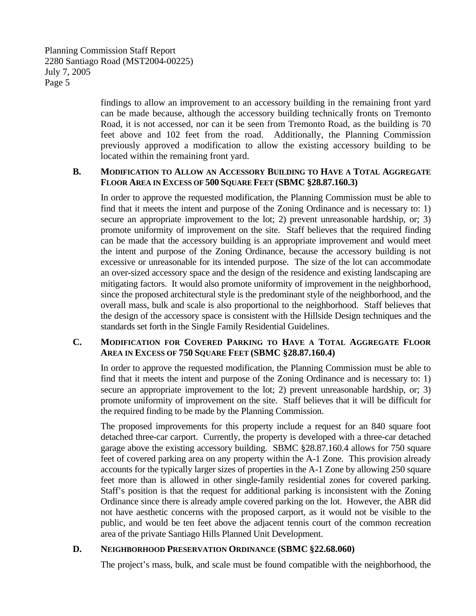findings to allow an improvement to an accessory building in the remaining front yard can be made because, although the accessory building technically fronts on Tremonto Road, it is not accessed, nor can it be seen from Tremonto Road, as the building is 70 feet above and 102 feet from the road. Additionally, the Planning Commission previously approved a modification to allow the existing accessory building to be located within the remaining front yard.

#### **B. MODIFICATION TO ALLOW AN ACCESSORY BUILDING TO HAVE A TOTAL AGGREGATE FLOOR AREA IN EXCESS OF 500 SQUARE FEET (SBMC §28.87.160.3)**

In order to approve the requested modification, the Planning Commission must be able to find that it meets the intent and purpose of the Zoning Ordinance and is necessary to: 1) secure an appropriate improvement to the lot; 2) prevent unreasonable hardship, or; 3) promote uniformity of improvement on the site. Staff believes that the required finding can be made that the accessory building is an appropriate improvement and would meet the intent and purpose of the Zoning Ordinance, because the accessory building is not excessive or unreasonable for its intended purpose. The size of the lot can accommodate an over-sized accessory space and the design of the residence and existing landscaping are mitigating factors. It would also promote uniformity of improvement in the neighborhood, since the proposed architectural style is the predominant style of the neighborhood, and the overall mass, bulk and scale is also proportional to the neighborhood. Staff believes that the design of the accessory space is consistent with the Hillside Design techniques and the standards set forth in the Single Family Residential Guidelines.

## **C. MODIFICATION FOR COVERED PARKING TO HAVE A TOTAL AGGREGATE FLOOR AREA IN EXCESS OF 750 SQUARE FEET (SBMC §28.87.160.4)**

In order to approve the requested modification, the Planning Commission must be able to find that it meets the intent and purpose of the Zoning Ordinance and is necessary to: 1) secure an appropriate improvement to the lot; 2) prevent unreasonable hardship, or; 3) promote uniformity of improvement on the site. Staff believes that it will be difficult for the required finding to be made by the Planning Commission.

The proposed improvements for this property include a request for an 840 square foot detached three-car carport. Currently, the property is developed with a three-car detached garage above the existing accessory building. SBMC §28.87.160.4 allows for 750 square feet of covered parking area on any property within the A-1 Zone. This provision already accounts for the typically larger sizes of properties in the A-1 Zone by allowing 250 square feet more than is allowed in other single-family residential zones for covered parking. Staff's position is that the request for additional parking is inconsistent with the Zoning Ordinance since there is already ample covered parking on the lot. However, the ABR did not have aesthetic concerns with the proposed carport, as it would not be visible to the public, and would be ten feet above the adjacent tennis court of the common recreation area of the private Santiago Hills Planned Unit Development.

## **D. NEIGHBORHOOD PRESERVATION ORDINANCE (SBMC §22.68.060)**

The project's mass, bulk, and scale must be found compatible with the neighborhood, the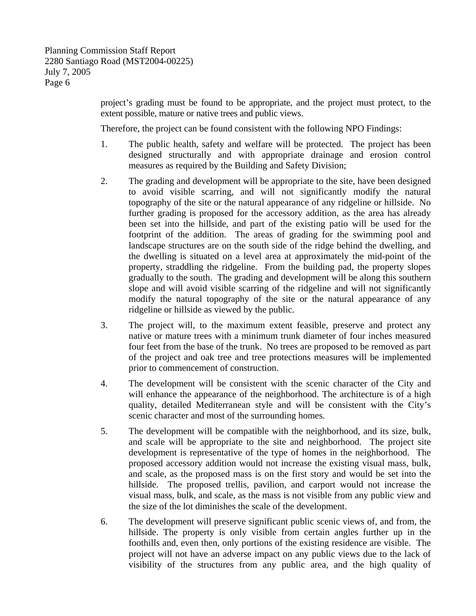project's grading must be found to be appropriate, and the project must protect, to the extent possible, mature or native trees and public views.

Therefore, the project can be found consistent with the following NPO Findings:

- 1. The public health, safety and welfare will be protected. The project has been designed structurally and with appropriate drainage and erosion control measures as required by the Building and Safety Division;
- 2. The grading and development will be appropriate to the site, have been designed to avoid visible scarring, and will not significantly modify the natural topography of the site or the natural appearance of any ridgeline or hillside. No further grading is proposed for the accessory addition, as the area has already been set into the hillside, and part of the existing patio will be used for the footprint of the addition. The areas of grading for the swimming pool and landscape structures are on the south side of the ridge behind the dwelling, and the dwelling is situated on a level area at approximately the mid-point of the property, straddling the ridgeline. From the building pad, the property slopes gradually to the south. The grading and development will be along this southern slope and will avoid visible scarring of the ridgeline and will not significantly modify the natural topography of the site or the natural appearance of any ridgeline or hillside as viewed by the public.
- 3. The project will, to the maximum extent feasible, preserve and protect any native or mature trees with a minimum trunk diameter of four inches measured four feet from the base of the trunk. No trees are proposed to be removed as part of the project and oak tree and tree protections measures will be implemented prior to commencement of construction.
- 4. The development will be consistent with the scenic character of the City and will enhance the appearance of the neighborhood. The architecture is of a high quality, detailed Mediterranean style and will be consistent with the City's scenic character and most of the surrounding homes.
- 5. The development will be compatible with the neighborhood, and its size, bulk, and scale will be appropriate to the site and neighborhood. The project site development is representative of the type of homes in the neighborhood. The proposed accessory addition would not increase the existing visual mass, bulk, and scale, as the proposed mass is on the first story and would be set into the hillside. The proposed trellis, pavilion, and carport would not increase the visual mass, bulk, and scale, as the mass is not visible from any public view and the size of the lot diminishes the scale of the development.
- 6. The development will preserve significant public scenic views of, and from, the hillside. The property is only visible from certain angles further up in the foothills and, even then, only portions of the existing residence are visible. The project will not have an adverse impact on any public views due to the lack of visibility of the structures from any public area, and the high quality of